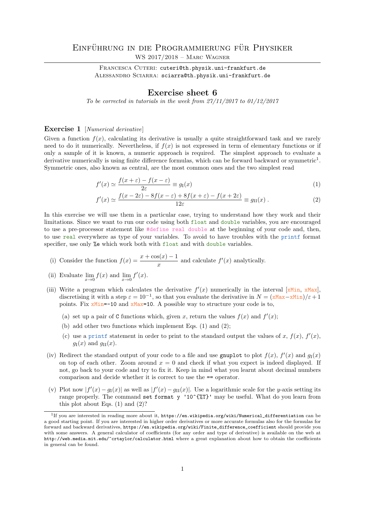FRANCESCA CUTERI: cuteri@th.physik.uni-frankfurt.de ALESSANDRO SCIARRA: sciarra@th.physik.uni-frankfurt.de

## Exercise sheet 6

To be corrected in tutorials in the week from  $27/11/2017$  to  $01/12/2017$ 

## Exercise 1 [Numerical derivative]

Given a function  $f(x)$ , calculating its derivative is usually a quite straightforward task and we rarely need to do it numerically. Nevertheless, if  $f(x)$  is not expressed in term of elementary functions or if only a sample of it is known, a numeric approach is required. The simplest approach to evaluate a derivative numerically is using finite difference formulas, which can be forward backward or symmetric<sup>1</sup>. Symmetric ones, also known as central, are the most common ones and the two simplest read

$$
f'(x) \simeq \frac{f(x+\varepsilon) - f(x-\varepsilon)}{2\varepsilon} \equiv g_{\rm I}(x) \tag{1}
$$

$$
f'(x) \simeq \frac{f(x - 2\varepsilon) - 8f(x - \varepsilon) + 8f(x + \varepsilon) - f(x + 2\varepsilon)}{12\varepsilon} \equiv g_{\text{II}}(x) . \tag{2}
$$

In this exercise we will use them in a particular case, trying to understand how they work and their limitations. Since we want to run our code using both float and double variables, you are encouraged to use a pre-processor statement like #define real double at the beginning of your code and, then, to use real everywhere as type of your variables. To avoid to have troubles with the printf format specifier, use only %e which work both with float and with double variables.

(i) Consider the function 
$$
f(x) = \frac{x + \cos(x) - 1}{x}
$$
 and calculate  $f'(x)$  analytically.

- (ii) Evaluate  $\lim_{x\to 0} f(x)$  and  $\lim_{x\to 0} f'(x)$ .
- (iii) Write a program which calculates the derivative  $f'(x)$  numerically in the interval [xMin, xMax], discretising it with a step  $\varepsilon = 10^{-1}$ , so that you evaluate the derivative in  $N = (\mathbf{x} \mathbf{Max} - \mathbf{x} \mathbf{Min})/\varepsilon + 1$ points. Fix xMin=-10 and xMax=10. A possible way to structure your code is to,
	- (a) set up a pair of C functions which, given x, return the values  $f(x)$  and  $f'(x)$ ;
	- (b) add other two functions which implement Eqs. (1) and (2);
	- (c) use a printf statement in order to print to the standard output the values of x,  $f(x)$ ,  $f'(x)$ ,  $g_{\rm I}(x)$  and  $g_{\rm II}(x)$ .
- (iv) Redirect the standard output of your code to a file and use grapplot to plot  $f(x)$ ,  $f'(x)$  and  $g_1(x)$ on top of each other. Zoom around  $x = 0$  and check if what you expect is indeed displayed. If not, go back to your code and try to fix it. Keep in mind what you learnt about decimal numbers comparison and decide whether it is correct to use the == operator.
- (v) Plot now  $|f'(x) g_1(x)|$  as well as  $|f'(x) g_1(x)|$ . Use a logarithmic scale for the y-axis setting its range properly. The command set format y ' $10^{}$ ( $\text{7}$ )' may be useful. What do you learn from this plot about Eqs. (1) and (2)?

<sup>&</sup>lt;sup>1</sup>If you are interested in reading more about it, https://en.wikipedia.org/wiki/Numerical\_differentiation can be a good starting point. If you are interested in higher order derivatives or more accurate formulas also for the formulas for forward and backward derivatives, https://en.wikipedia.org/wiki/Finite\_difference\_coefficient should provide you with some answers. A general calculator of coefficients (for any order and type of derivative) is available on the web at http://web.media.mit.edu/~crtaylor/calculator.html where a great explanation about how to obtain the coefficients in general can be found.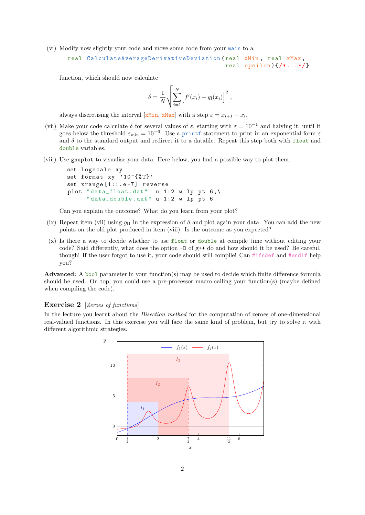(vi) Modify now slightly your code and move some code from your main to a

```
real CalculateAverageDerivativeDeviation (real xMin, real xMax,
                                            real epsilon)\{/* \dots */\}
```
function, which should now calculate

$$
\delta = \frac{1}{N} \sqrt{\sum_{i=1}^{N} \left[ f'(x_i) - g_1(x_i) \right]^2} ,
$$

always discretising the interval [xMin, xMax] with a step  $\varepsilon = x_{i+1} - x_i$ .

- (vii) Make your code calculate  $\delta$  for several values of  $\varepsilon$ , starting with  $\varepsilon = 10^{-1}$  and halving it, until it goes below the threshold  $\varepsilon_{\rm min} = 10^{-6}$ . Use a printf statement to print in an exponential form  $\varepsilon$ and  $\delta$  to the standard output and redirect it to a datafile. Repeat this step both with float and double variables.
- (viii) Use gnuplot to visualise your data. Here below, you find a possible way to plot them.

```
set logscale xy
set format xy '10^{\circ}{% T}'
set xrange [1:1.e-7] reverse
plot "data_float.dat" u 1:2 w lp pt 6, \backslash"data_double.dat" u 1:2 w lp pt 6
```
Can you explain the outcome? What do you learn from your plot?

- (ix) Repeat item (vii) using  $g_{\text{II}}$  in the expression of  $\delta$  and plot again your data. You can add the new points on the old plot produced in item (viii). Is the outcome as you expected?
- (x) Is there a way to decide whether to use float or double at compile time without editing your code? Said differently, what does the option -D of g++ do and how should it be used? Be careful, though! If the user forgot to use it, your code should still compile! Can #ifndef and #endif help you?

Advanced: A bool parameter in your function(s) may be used to decide which finite difference formula should be used. On top, you could use a pre-processor macro calling your function(s) (maybe defined when compiling the code).

## Exercise 2 [Zeroes of functions]

In the lecture you learnt about the *Bisection method* for the computation of zeroes of one-dimensional real-valued functions. In this exercise you will face the same kind of problem, but try to solve it with different algorithmic strategies.